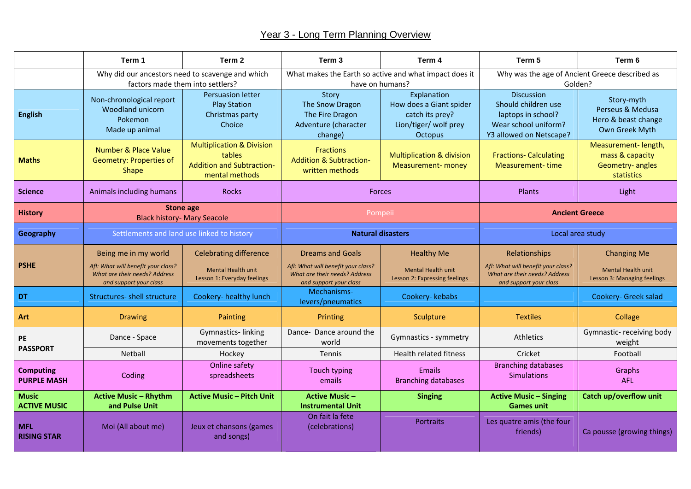## Year 3 - Long Term Planning Overview

|                                        | Term 1                                                                                        | Term 2                                                                                               | Term 3                                                                                        | Term 4                                                                                               | Term 5                                                                                                            | Term 6                                                                   |
|----------------------------------------|-----------------------------------------------------------------------------------------------|------------------------------------------------------------------------------------------------------|-----------------------------------------------------------------------------------------------|------------------------------------------------------------------------------------------------------|-------------------------------------------------------------------------------------------------------------------|--------------------------------------------------------------------------|
|                                        | Why did our ancestors need to scavenge and which<br>factors made them into settlers?          |                                                                                                      | What makes the Earth so active and what impact does it<br>have on humans?                     |                                                                                                      | Why was the age of Ancient Greece described as<br>Golden?                                                         |                                                                          |
| <b>English</b>                         | Non-chronological report<br>Woodland unicorn<br>Pokemon<br>Made up animal                     | <b>Persuasion letter</b><br><b>Play Station</b><br>Christmas party<br>Choice                         | Story<br>The Snow Dragon<br>The Fire Dragon<br>Adventure (character<br>change)                | Explanation<br>How does a Giant spider<br>catch its prey?<br>Lion/tiger/ wolf prey<br><b>Octopus</b> | <b>Discussion</b><br>Should children use<br>laptops in school?<br>Wear school uniform?<br>Y3 allowed on Netscape? | Story-myth<br>Perseus & Medusa<br>Hero & beast change<br>Own Greek Myth  |
| <b>Maths</b>                           | Number & Place Value<br><b>Geometry: Properties of</b><br><b>Shape</b>                        | <b>Multiplication &amp; Division</b><br>tables<br><b>Addition and Subtraction-</b><br>mental methods | <b>Fractions</b><br><b>Addition &amp; Subtraction-</b><br>written methods                     | <b>Multiplication &amp; division</b><br><b>Measurement- money</b>                                    | <b>Fractions- Calculating</b><br>Measurement-time                                                                 | Measurement-length,<br>mass & capacity<br>Geometry- angles<br>statistics |
| <b>Science</b>                         | Animals including humans                                                                      | <b>Rocks</b>                                                                                         | Forces                                                                                        |                                                                                                      | Plants                                                                                                            | Light                                                                    |
| <b>History</b>                         | Stone age<br><b>Black history- Mary Seacole</b>                                               |                                                                                                      | Pompeii                                                                                       |                                                                                                      | <b>Ancient Greece</b>                                                                                             |                                                                          |
| Geography                              | Settlements and land use linked to history                                                    |                                                                                                      | <b>Natural disasters</b>                                                                      |                                                                                                      | Local area study                                                                                                  |                                                                          |
| <b>PSHE</b>                            | Being me in my world                                                                          | <b>Celebrating difference</b>                                                                        | <b>Dreams and Goals</b>                                                                       | <b>Healthy Me</b>                                                                                    | Relationships                                                                                                     | <b>Changing Me</b>                                                       |
|                                        | Afl: What will benefit your class?<br>What are their needs? Address<br>and support your class | <b>Mental Health unit</b><br>Lesson 1: Everyday feelings                                             | Afl: What will benefit your class?<br>What are their needs? Address<br>and support your class | <b>Mental Health unit</b><br>Lesson 2: Expressing feelings                                           | Afl: What will benefit your class?<br>What are their needs? Address<br>and support your class                     | <b>Mental Health unit</b><br>Lesson 3: Managing feelings                 |
| <b>DT</b>                              | <b>Structures- shell structure</b>                                                            | Cookery- healthy lunch                                                                               | Mechanisms-<br>levers/pneumatics                                                              | Cookery-kebabs                                                                                       |                                                                                                                   | Cookery- Greek salad                                                     |
| Art                                    | <b>Drawing</b>                                                                                | Painting                                                                                             | Printing                                                                                      | Sculpture                                                                                            | <b>Textiles</b>                                                                                                   | Collage                                                                  |
| <b>PE</b><br><b>PASSPORT</b>           | Dance - Space                                                                                 | Gymnastics-linking<br>movements together                                                             | Dance-Dance around the<br>world                                                               | Gymnastics - symmetry                                                                                | <b>Athletics</b>                                                                                                  | Gymnastic- receiving body<br>weight                                      |
|                                        | Netball                                                                                       | Hockey                                                                                               | Tennis                                                                                        | <b>Health related fitness</b>                                                                        | Cricket                                                                                                           | Football                                                                 |
| <b>Computing</b><br><b>PURPLE MASH</b> | Coding                                                                                        | Online safety<br>spreadsheets                                                                        | <b>Touch typing</b><br>emails                                                                 | Emails<br><b>Branching databases</b>                                                                 | <b>Branching databases</b><br><b>Simulations</b>                                                                  | Graphs<br>AFL                                                            |
| <b>Music</b><br><b>ACTIVE MUSIC</b>    | <b>Active Music - Rhythm</b><br>and Pulse Unit                                                | <b>Active Music - Pitch Unit</b>                                                                     | <b>Active Music-</b><br><b>Instrumental Unit</b>                                              | <b>Singing</b>                                                                                       | <b>Active Music - Singing</b><br><b>Games unit</b>                                                                | Catch up/overflow unit                                                   |
| <b>MFL</b><br><b>RISING STAR</b>       | Moi (All about me)                                                                            | Jeux et chansons (games<br>and songs)                                                                | On fait la fete<br>(celebrations)                                                             | Portraits                                                                                            | Les quatre amis (the four<br>friends)                                                                             | Ca pousse (growing things)                                               |